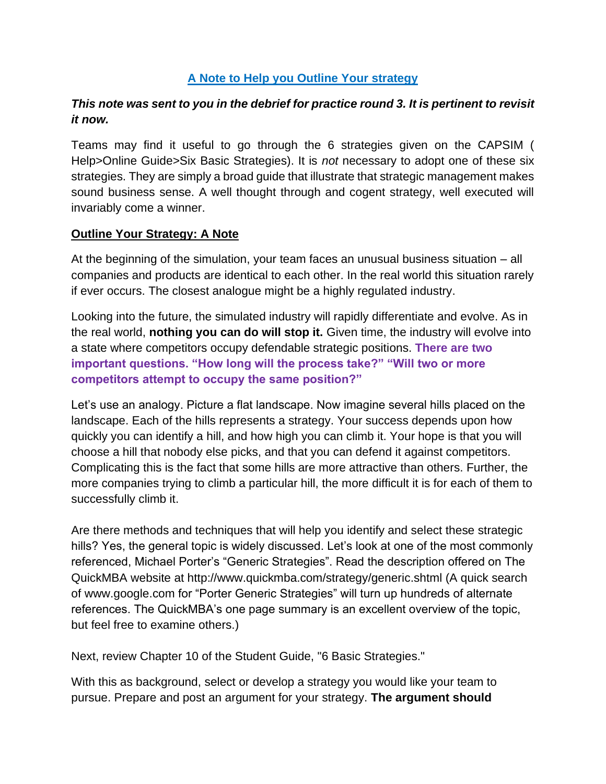## **A Note to Help you Outline Your strategy**

## *This note was sent to you in the debrief for practice round 3. It is pertinent to revisit it now.*

Teams may find it useful to go through the 6 strategies given on the CAPSIM ( Help>Online Guide>Six Basic Strategies). It is *not* necessary to adopt one of these six strategies. They are simply a broad guide that illustrate that strategic management makes sound business sense. A well thought through and cogent strategy, well executed will invariably come a winner.

#### **Outline Your Strategy: A Note**

At the beginning of the simulation, your team faces an unusual business situation – all companies and products are identical to each other. In the real world this situation rarely if ever occurs. The closest analogue might be a highly regulated industry.

Looking into the future, the simulated industry will rapidly differentiate and evolve. As in the real world, **nothing you can do will stop it.** Given time, the industry will evolve into a state where competitors occupy defendable strategic positions. **There are two important questions. "How long will the process take?" "Will two or more competitors attempt to occupy the same position?"**

Let's use an analogy. Picture a flat landscape. Now imagine several hills placed on the landscape. Each of the hills represents a strategy. Your success depends upon how quickly you can identify a hill, and how high you can climb it. Your hope is that you will choose a hill that nobody else picks, and that you can defend it against competitors. Complicating this is the fact that some hills are more attractive than others. Further, the more companies trying to climb a particular hill, the more difficult it is for each of them to successfully climb it.

Are there methods and techniques that will help you identify and select these strategic hills? Yes, the general topic is widely discussed. Let's look at one of the most commonly referenced, Michael Porter's "Generic Strategies". Read the description offered on The QuickMBA website at http://www.quickmba.com/strategy/generic.shtml (A quick search of www.google.com for "Porter Generic Strategies" will turn up hundreds of alternate references. The QuickMBA's one page summary is an excellent overview of the topic, but feel free to examine others.)

Next, review Chapter 10 of the Student Guide, "6 Basic Strategies."

With this as background, select or develop a strategy you would like your team to pursue. Prepare and post an argument for your strategy. **The argument should**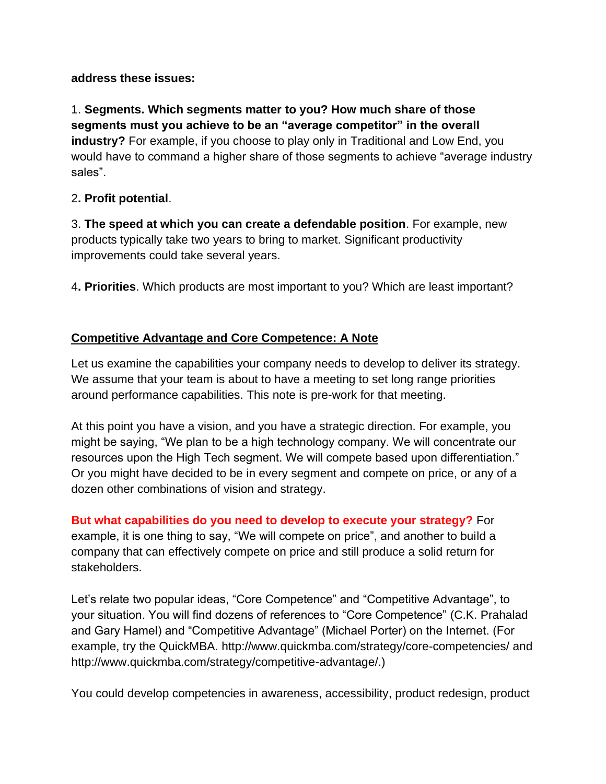### **address these issues:**

1. **Segments. Which segments matter to you? How much share of those segments must you achieve to be an "average competitor" in the overall industry?** For example, if you choose to play only in Traditional and Low End, you would have to command a higher share of those segments to achieve "average industry sales".

## 2**. Profit potential**.

3. **The speed at which you can create a defendable position**. For example, new products typically take two years to bring to market. Significant productivity improvements could take several years.

4**. Priorities**. Which products are most important to you? Which are least important?

# **Competitive Advantage and Core Competence: A Note**

Let us examine the capabilities your company needs to develop to deliver its strategy. We assume that your team is about to have a meeting to set long range priorities around performance capabilities. This note is pre-work for that meeting.

At this point you have a vision, and you have a strategic direction. For example, you might be saying, "We plan to be a high technology company. We will concentrate our resources upon the High Tech segment. We will compete based upon differentiation." Or you might have decided to be in every segment and compete on price, or any of a dozen other combinations of vision and strategy.

**But what capabilities do you need to develop to execute your strategy?** For example, it is one thing to say, "We will compete on price", and another to build a company that can effectively compete on price and still produce a solid return for stakeholders.

Let's relate two popular ideas, "Core Competence" and "Competitive Advantage", to your situation. You will find dozens of references to "Core Competence" (C.K. Prahalad and Gary Hamel) and "Competitive Advantage" (Michael Porter) on the Internet. (For example, try the QuickMBA. http://www.quickmba.com/strategy/core-competencies/ and http://www.quickmba.com/strategy/competitive-advantage/.)

You could develop competencies in awareness, accessibility, product redesign, product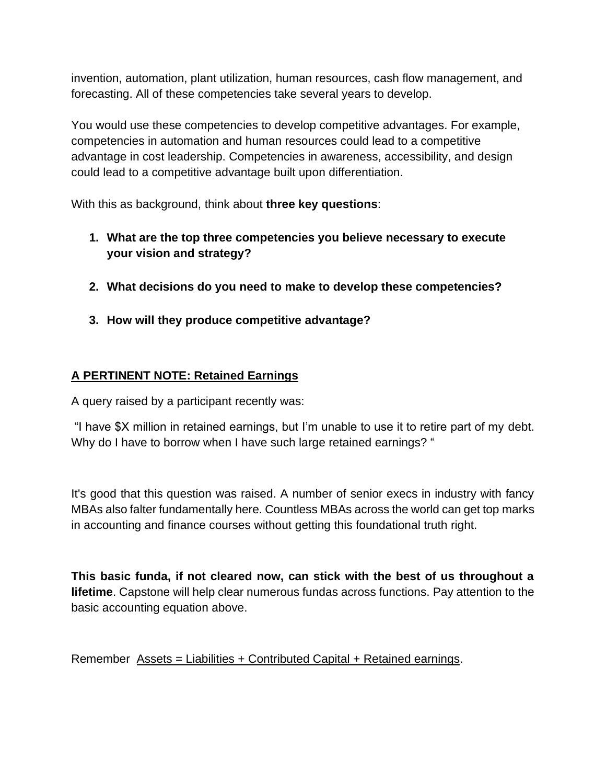invention, automation, plant utilization, human resources, cash flow management, and forecasting. All of these competencies take several years to develop.

You would use these competencies to develop competitive advantages. For example, competencies in automation and human resources could lead to a competitive advantage in cost leadership. Competencies in awareness, accessibility, and design could lead to a competitive advantage built upon differentiation.

With this as background, think about **three key questions**:

- **1. What are the top three competencies you believe necessary to execute your vision and strategy?**
- **2. What decisions do you need to make to develop these competencies?**
- **3. How will they produce competitive advantage?**

# **A PERTINENT NOTE: Retained Earnings**

A query raised by a participant recently was:

"I have \$X million in retained earnings, but I'm unable to use it to retire part of my debt. Why do I have to borrow when I have such large retained earnings? "

It's good that this question was raised. A number of senior execs in industry with fancy MBAs also falter fundamentally here. Countless MBAs across the world can get top marks in accounting and finance courses without getting this foundational truth right.

**This basic funda, if not cleared now, can stick with the best of us throughout a lifetime**. Capstone will help clear numerous fundas across functions. Pay attention to the basic accounting equation above.

Remember Assets = Liabilities + Contributed Capital + Retained earnings.